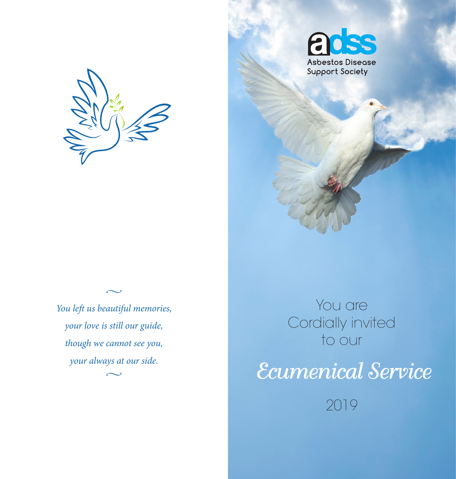



 $\sim$ *You left us beautiful memories, your love is still our guide, though we cannot see you, your always at our side.*  $\sim$ 

You are Cordially invited to our

*Ecumenical Service* 

2019